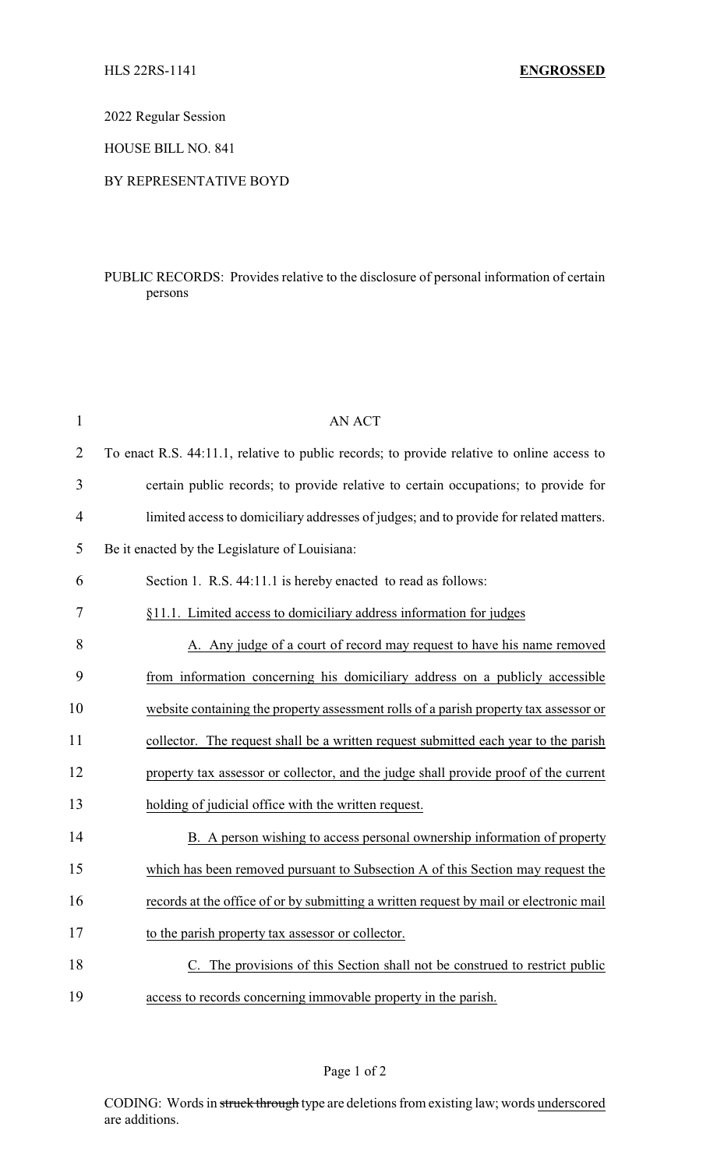2022 Regular Session

HOUSE BILL NO. 841

## BY REPRESENTATIVE BOYD

## PUBLIC RECORDS: Provides relative to the disclosure of personal information of certain persons

| $\mathbf{1}$   | <b>AN ACT</b>                                                                              |
|----------------|--------------------------------------------------------------------------------------------|
| $\overline{2}$ | To enact R.S. 44:11.1, relative to public records; to provide relative to online access to |
| 3              | certain public records; to provide relative to certain occupations; to provide for         |
| $\overline{4}$ | limited access to domiciliary addresses of judges; and to provide for related matters.     |
| 5              | Be it enacted by the Legislature of Louisiana:                                             |
| 6              | Section 1. R.S. 44:11.1 is hereby enacted to read as follows:                              |
| 7              | §11.1. Limited access to domiciliary address information for judges                        |
| 8              | A. Any judge of a court of record may request to have his name removed                     |
| 9              | from information concerning his domiciliary address on a publicly accessible               |
| 10             | website containing the property assessment rolls of a parish property tax assessor or      |
| 11             | collector. The request shall be a written request submitted each year to the parish        |
| 12             | property tax assessor or collector, and the judge shall provide proof of the current       |
| 13             | holding of judicial office with the written request.                                       |
| 14             | B. A person wishing to access personal ownership information of property                   |
| 15             | which has been removed pursuant to Subsection A of this Section may request the            |
| 16             | records at the office of or by submitting a written request by mail or electronic mail     |
| 17             | to the parish property tax assessor or collector.                                          |
| 18             | The provisions of this Section shall not be construed to restrict public                   |
| 19             | access to records concerning immovable property in the parish.                             |

CODING: Words in struck through type are deletions from existing law; words underscored are additions.